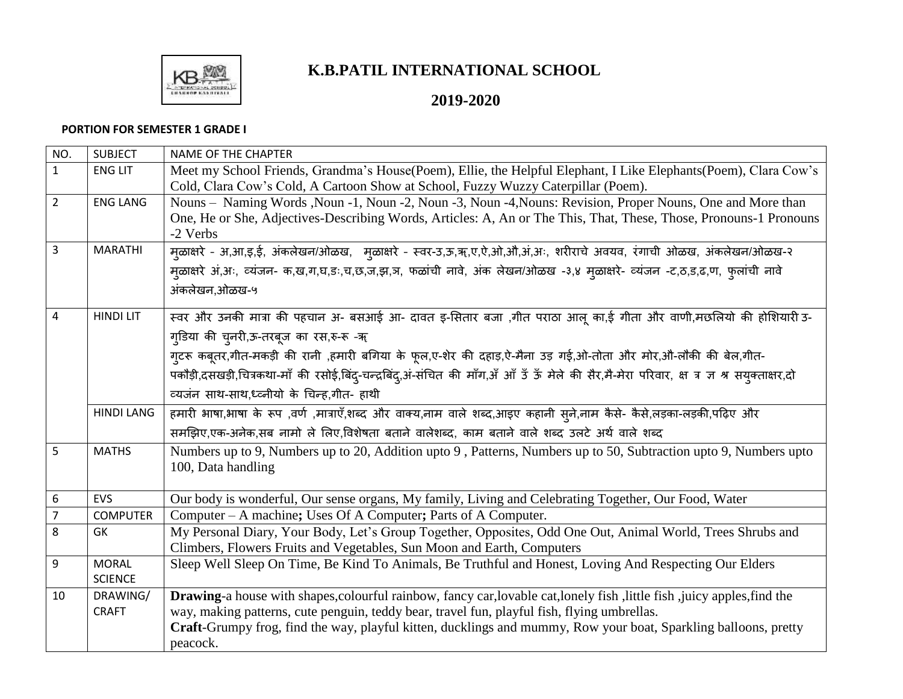

## **K.B.PATIL INTERNATIONAL SCHOOL**

## **2019-2020**

## **PORTION FOR SEMESTER 1 GRADE I**

| NO.            | <b>SUBJECT</b>    | NAME OF THE CHAPTER                                                                                                                          |
|----------------|-------------------|----------------------------------------------------------------------------------------------------------------------------------------------|
| $\mathbf{1}$   | <b>ENG LIT</b>    | Meet my School Friends, Grandma's House(Poem), Ellie, the Helpful Elephant, I Like Elephants(Poem), Clara Cow's                              |
|                |                   | Cold, Clara Cow's Cold, A Cartoon Show at School, Fuzzy Wuzzy Caterpillar (Poem).                                                            |
| $\overline{2}$ | <b>ENG LANG</b>   | Nouns - Naming Words , Noun -1, Noun -2, Noun -3, Noun -4, Nouns: Revision, Proper Nouns, One and More than                                  |
|                |                   | One, He or She, Adjectives-Describing Words, Articles: A, An or The This, That, These, Those, Pronouns-1 Pronouns                            |
|                |                   | -2 Verbs                                                                                                                                     |
| $\overline{3}$ | <b>MARATHI</b>    | म्ळाक्षरे - अ,आ,इ,ई, अंकलेखन/ओळख, मुळाक्षरे - स्वर-उ,ऊ,ॠ,ए,ऐ,ओ,औ,अं,अः, शरीराचे अवयव, रंगाची ओळख, अंकलेखन/ओळख-२                              |
|                |                   | म्ळाक्षरे अं,अः, व्यंजन- क,ख,ग,घ,डः,च,छ,ज,झ,ञ, फळांची नावे, अंक लेखन/ओळख -३,४ म्ळाक्षरे- व्यंजन -ट,ठ,ड,ढ,ण, फुलांची नावे                     |
|                |                   | अंकलेखन,ओळख-५                                                                                                                                |
| 4              | <b>HINDI LIT</b>  | स्वर और उनकी मात्रा की पहचान अ- बसआई आ- दावत इ-सितार बजा ,गीत पराठा आलू का,ई गीता और वाणी,मछलियो की होशियारी उ-                              |
|                |                   | ग्डिया की चुनरी,ऊ-तरबूज का रस,रु-रू -ॠ                                                                                                       |
|                |                   | ग्टरू कबूतर,गीत-मकड़ी की रानी ,हमारी बगिया के फूल,ए-शेर की दहाड़,ऐ-मैना उड़ गई,ओ-तोता और मोर,औ-लौकी की बेल,गीत-                              |
|                |                   | पकौड़ी,दसखड़ी,चित्रकथा-माँ की रसोई,बिंद्-चन्द्रबिंद्,अं-संचित की माँग,अँ आँ उँ ऊँ मेले की सैर,मै-मेरा परिवार, क्ष त्र ज्ञ श्र सयुक्ताक्षर,दो |
|                |                   | व्यजंन साथ-साथ,ध्व्नीयो के चिन्ह,गीत- हाथी                                                                                                   |
|                | <b>HINDI LANG</b> | हमारी भाषा,भाषा के रूप ,वर्ण ,मात्राएँ,शब्द और वाक्य,नाम वाले शब्द,आइए कहानी स्ने,नाम कैसे- कैसे,लड़का-लड़की,पढ़िए और                        |
|                |                   | समझिए,एक-अनेक,सब नामो ले लिए,विशेषता बताने वालेशब्द, काम बताने वाले शब्द उलटे अर्थ वाले शब्द                                                 |
| 5              | <b>MATHS</b>      | Numbers up to 9, Numbers up to 20, Addition upto 9, Patterns, Numbers up to 50, Subtraction upto 9, Numbers upto                             |
|                |                   | 100, Data handling                                                                                                                           |
|                |                   |                                                                                                                                              |
| 6              | <b>EVS</b>        | Our body is wonderful, Our sense organs, My family, Living and Celebrating Together, Our Food, Water                                         |
| $\overline{7}$ | <b>COMPUTER</b>   | Computer – A machine; Uses Of A Computer; Parts of A Computer.                                                                               |
| 8              | GK                | My Personal Diary, Your Body, Let's Group Together, Opposites, Odd One Out, Animal World, Trees Shrubs and                                   |
|                |                   | Climbers, Flowers Fruits and Vegetables, Sun Moon and Earth, Computers                                                                       |
| 9              | <b>MORAL</b>      | Sleep Well Sleep On Time, Be Kind To Animals, Be Truthful and Honest, Loving And Respecting Our Elders                                       |
|                | <b>SCIENCE</b>    |                                                                                                                                              |
| 10             | DRAWING/          | <b>Drawing-a</b> house with shapes, colourful rainbow, fancy car, lovable cat, lonely fish, little fish, juicy apples, find the              |
|                | <b>CRAFT</b>      | way, making patterns, cute penguin, teddy bear, travel fun, playful fish, flying umbrellas.                                                  |
|                |                   | Craft-Grumpy frog, find the way, playful kitten, ducklings and mummy, Row your boat, Sparkling balloons, pretty                              |
|                |                   | peacock.                                                                                                                                     |